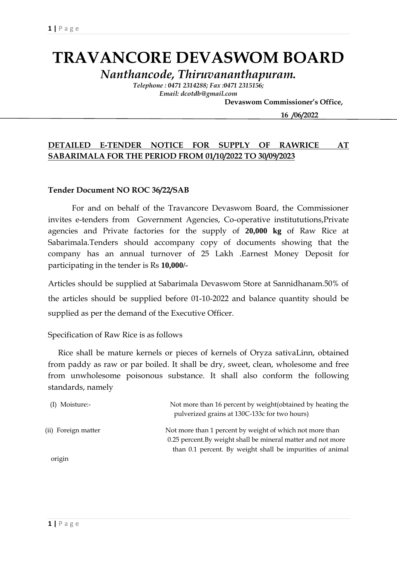# **TRAVANCORE DEVASWOM BOARD**

*Nanthancode, Thiruvananthapuram.*

*Telephone : 0471 2314288; Fax :0471 2315156; Email: dcotdb@gmail.com*

 **Devaswom Commissioner's Office,**

 **16 /06/2022**

### **DETAILED E-TENDER NOTICE FOR SUPPLY OF RAWRICE AT SABARIMALA FOR THE PERIOD FROM 01/10/2022 TO 30/09/2023**

#### **Tender Document NO ROC 36/22/SAB**

For and on behalf of the Travancore Devaswom Board, the Commissioner invites e-tenders from Government Agencies, Co-operative institututions,Private agencies and Private factories for the supply of **20,000 kg** of Raw Rice at Sabarimala.Tenders should accompany copy of documents showing that the company has an annual turnover of 25 Lakh .Earnest Money Deposit for participating in the tender is Rs **10,000/-**

Articles should be supplied at Sabarimala Devaswom Store at Sannidhanam.50% of the articles should be supplied before 01-10-2022 and balance quantity should be supplied as per the demand of the Executive Officer.

Specification of Raw Rice is as follows

 Rice shall be mature kernels or pieces of kernels of Oryza sativaLinn, obtained from paddy as raw or par boiled. It shall be dry, sweet, clean, wholesome and free from unwholesome poisonous substance. It shall also conform the following standards, namely

| (I) Moisture:-      | Not more than 16 percent by weight (obtained by heating the<br>pulverized grains at 130C-133c for two hours) |
|---------------------|--------------------------------------------------------------------------------------------------------------|
| (ii) Foreign matter | Not more than 1 percent by weight of which not more than                                                     |
|                     | 0.25 percent. By weight shall be mineral matter and not more                                                 |
|                     | than 0.1 percent. By weight shall be impurities of animal                                                    |
| .                   |                                                                                                              |

origin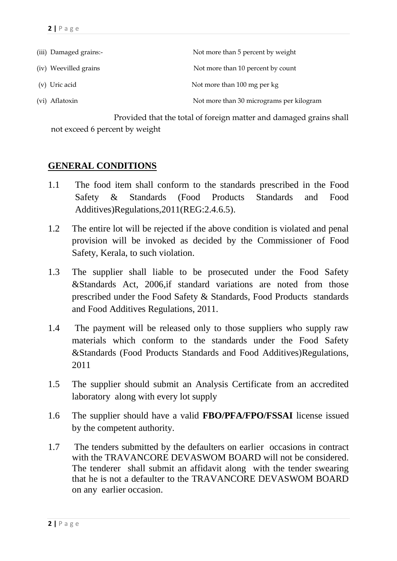| (iii) Damaged grains:- | Not more than 5 percent by weight        |
|------------------------|------------------------------------------|
| (iv) Weevilled grains  | Not more than 10 percent by count        |
| (v) Uric acid          | Not more than 100 mg per kg              |
| (vi) Aflatoxin         | Not more than 30 micrograms per kilogram |

 Provided that the total of foreign matter and damaged grains shall not exceed 6 percent by weight

### **GENERAL CONDITIONS**

- 1.1 The food item shall conform to the standards prescribed in the Food Safety & Standards (Food Products Standards and Food Additives)Regulations,2011(REG:2.4.6.5).
- 1.2 The entire lot will be rejected if the above condition is violated and penal provision will be invoked as decided by the Commissioner of Food Safety, Kerala, to such violation.
- 1.3 The supplier shall liable to be prosecuted under the Food Safety &Standards Act, 2006,if standard variations are noted from those prescribed under the Food Safety & Standards, Food Products standards and Food Additives Regulations, 2011.
- 1.4 The payment will be released only to those suppliers who supply raw materials which conform to the standards under the Food Safety &Standards (Food Products Standards and Food Additives)Regulations, 2011
- 1.5 The supplier should submit an Analysis Certificate from an accredited laboratory along with every lot supply
- 1.6 The supplier should have a valid **FBO/PFA/FPO/FSSAI** license issued by the competent authority.
- 1.7 The tenders submitted by the defaulters on earlier occasions in contract with the TRAVANCORE DEVASWOM BOARD will not be considered. The tenderer shall submit an affidavit along with the tender swearing that he is not a defaulter to the TRAVANCORE DEVASWOM BOARD on any earlier occasion.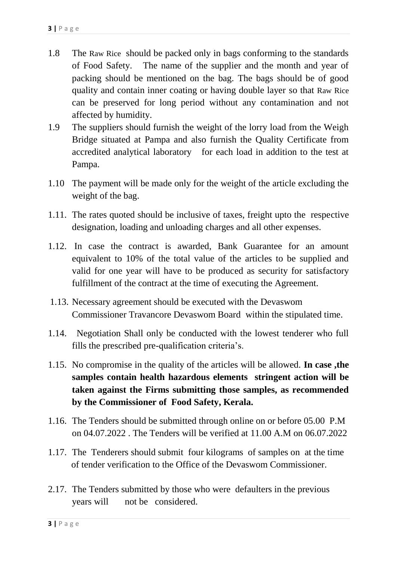- 1.8 The Raw Rice should be packed only in bags conforming to the standards of Food Safety. The name of the supplier and the month and year of packing should be mentioned on the bag. The bags should be of good quality and contain inner coating or having double layer so that Raw Rice can be preserved for long period without any contamination and not affected by humidity.
- 1.9 The suppliers should furnish the weight of the lorry load from the Weigh Bridge situated at Pampa and also furnish the Quality Certificate from accredited analytical laboratory for each load in addition to the test at Pampa.
- 1.10 The payment will be made only for the weight of the article excluding the weight of the bag.
- 1.11. The rates quoted should be inclusive of taxes, freight upto the respective designation, loading and unloading charges and all other expenses.
- 1.12. In case the contract is awarded, Bank Guarantee for an amount equivalent to 10% of the total value of the articles to be supplied and valid for one year will have to be produced as security for satisfactory fulfillment of the contract at the time of executing the Agreement.
- 1.13. Necessary agreement should be executed with the Devaswom Commissioner Travancore Devaswom Board within the stipulated time.
- 1.14. Negotiation Shall only be conducted with the lowest tenderer who full fills the prescribed pre-qualification criteria's.
- 1.15. No compromise in the quality of the articles will be allowed. **In case ,the samples contain health hazardous elements stringent action will be taken against the Firms submitting those samples, as recommended by the Commissioner of Food Safety, Kerala.**
- 1.16. The Tenders should be submitted through online on or before 05.00 P.M on 04.07.2022 . The Tenders will be verified at 11.00 A.M on 06.07.2022
- 1.17. The Tenderers should submit four kilograms of samples on at the time of tender verification to the Office of the Devaswom Commissioner.
- 2.17. The Tenders submitted by those who were defaulters in the previous years will not be considered.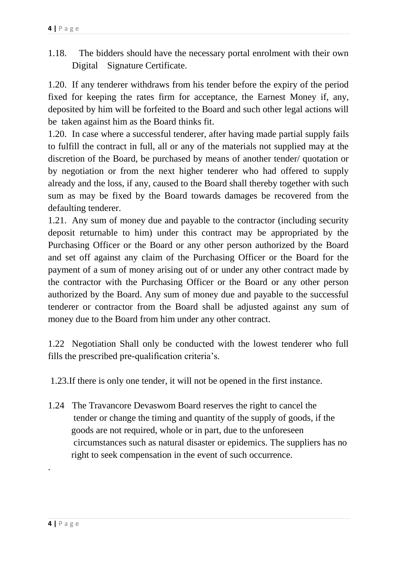1.18. The bidders should have the necessary portal enrolment with their own Digital Signature Certificate.

1.20. If any tenderer withdraws from his tender before the expiry of the period fixed for keeping the rates firm for acceptance, the Earnest Money if, any, deposited by him will be forfeited to the Board and such other legal actions will be taken against him as the Board thinks fit.

1.20. In case where a successful tenderer, after having made partial supply fails to fulfill the contract in full, all or any of the materials not supplied may at the discretion of the Board, be purchased by means of another tender/ quotation or by negotiation or from the next higher tenderer who had offered to supply already and the loss, if any, caused to the Board shall thereby together with such sum as may be fixed by the Board towards damages be recovered from the defaulting tenderer.

1.21. Any sum of money due and payable to the contractor (including security deposit returnable to him) under this contract may be appropriated by the Purchasing Officer or the Board or any other person authorized by the Board and set off against any claim of the Purchasing Officer or the Board for the payment of a sum of money arising out of or under any other contract made by the contractor with the Purchasing Officer or the Board or any other person authorized by the Board. Any sum of money due and payable to the successful tenderer or contractor from the Board shall be adjusted against any sum of money due to the Board from him under any other contract.

1.22 Negotiation Shall only be conducted with the lowest tenderer who full fills the prescribed pre-qualification criteria's.

1.23.If there is only one tender, it will not be opened in the first instance.

1.24 The Travancore Devaswom Board reserves the right to cancel the tender or change the timing and quantity of the supply of goods, if the goods are not required, whole or in part, due to the unforeseen circumstances such as natural disaster or epidemics. The suppliers has no right to seek compensation in the event of such occurrence.

.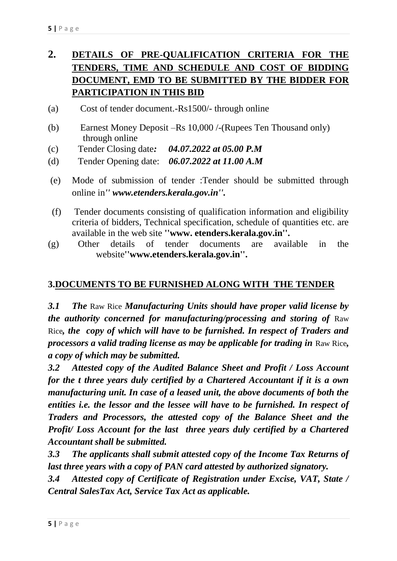# **2. DETAILS OF PRE-QUALIFICATION CRITERIA FOR THE TENDERS, TIME AND SCHEDULE AND COST OF BIDDING DOCUMENT, EMD TO BE SUBMITTED BY THE BIDDER FOR PARTICIPATION IN THIS BID**

- (a) Cost of tender document.-Rs1500/- through online
- (b) Earnest Money Deposit –Rs 10,000 /-(Rupees Ten Thousand only) through online
- (c) Tender Closing date*: 04.07.2022 at 05.00 P.M*
- (d) Tender Opening date: *06.07.2022 at 11.00 A.M*
- (e) Mode of submission of tender :Tender should be submitted through online in*'' www.etenders.kerala.gov.in''.*
- (f) Tender documents consisting of qualification information and eligibility criteria of bidders, Technical specification, schedule of quantities etc. are available in the web site **''www. etenders.kerala.gov.in''.**
- (g) Other details of tender documents are available in the website**''www.etenders.kerala.gov.in''.**

## **3.DOCUMENTS TO BE FURNISHED ALONG WITH THE TENDER**

*3.1 The* Raw Rice *Manufacturing Units should have proper valid license by the authority concerned for manufacturing/processing and storing of Raw* Rice*, the copy of which will have to be furnished. In respect of Traders and processors a valid trading license as may be applicable for trading in* Raw Rice*, a copy of which may be submitted.*

*3.2 Attested copy of the Audited Balance Sheet and Profit / Loss Account for the t three years duly certified by a Chartered Accountant if it is a own manufacturing unit. In case of a leased unit, the above documents of both the entities i.e. the lessor and the lessee will have to be furnished. In respect of Traders and Processors, the attested copy of the Balance Sheet and the Profit/ Loss Account for the last three years duly certified by a Chartered Accountant shall be submitted.*

*3.3 The applicants shall submit attested copy of the Income Tax Returns of last three years with a copy of PAN card attested by authorized signatory.*

*3.4 Attested copy of Certificate of Registration under Excise, VAT, State / Central SalesTax Act, Service Tax Act as applicable.*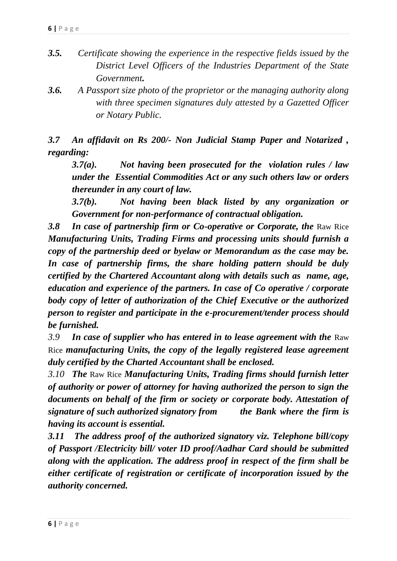- *3.5. Certificate showing the experience in the respective fields issued by the District Level Officers of the Industries Department of the State Government.*
- *3.6. A Passport size photo of the proprietor or the managing authority along with three specimen signatures duly attested by a Gazetted Officer or Notary Public.*

*3.7 An affidavit on Rs 200/- Non Judicial Stamp Paper and Notarized , regarding:*

*3.7(a). Not having been prosecuted for the violation rules / law under the Essential Commodities Act or any such others law or orders thereunder in any court of law.*

*3.7(b). Not having been black listed by any organization or Government for non-performance of contractual obligation.*

**3.8 In case of partnership firm or Co-operative or Corporate, the Raw Rice** *Manufacturing Units, Trading Firms and processing units should furnish a copy of the partnership deed or byelaw or Memorandum as the case may be. In case of partnership firms, the share holding pattern should be duly certified by the Chartered Accountant along with details such as name, age, education and experience of the partners. In case of Co operative / corporate body copy of letter of authorization of the Chief Executive or the authorized person to register and participate in the e-procurement/tender process should be furnished.*

*3.9 In case of supplier who has entered in to lease agreement with the* Raw Rice *manufacturing Units, the copy of the legally registered lease agreement duly certified by the Charted Accountant shall be enclosed.*

*3.10 The* Raw Rice *Manufacturing Units, Trading firms should furnish letter of authority or power of attorney for having authorized the person to sign the documents on behalf of the firm or society or corporate body. Attestation of signature of such authorized signatory from the Bank where the firm is having its account is essential.*

*3.11 The address proof of the authorized signatory viz. Telephone bill/copy of Passport /Electricity bill/ voter ID proof/Aadhar Card should be submitted along with the application. The address proof in respect of the firm shall be either certificate of registration or certificate of incorporation issued by the authority concerned.*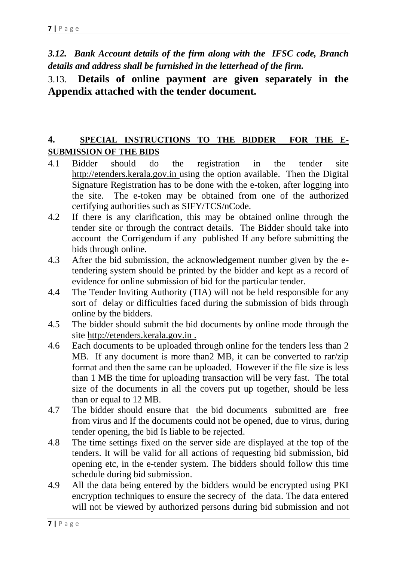*3.12. Bank Account details of the firm along with the IFSC code, Branch details and address shall be furnished in the letterhead of the firm.*

# 3.13. **Details of online payment are given separately in the Appendix attached with the tender document.**

### **4. SPECIAL INSTRUCTIONS TO THE BIDDER FOR THE E-SUBMISSION OF THE BIDS**

- 4.1 Bidder should do the registration in the tender site http://etenders.kerala.gov.in using the option available. Then the Digital Signature Registration has to be done with the e-token, after logging into the site. The e-token may be obtained from one of the authorized certifying authorities such as SIFY/TCS/nCode.
- 4.2 If there is any clarification, this may be obtained online through the tender site or through the contract details. The Bidder should take into account the Corrigendum if any published If any before submitting the bids through online.
- 4.3 After the bid submission, the acknowledgement number given by the etendering system should be printed by the bidder and kept as a record of evidence for online submission of bid for the particular tender.
- 4.4 The Tender Inviting Authority (TIA) will not be held responsible for any sort of delay or difficulties faced during the submission of bids through online by the bidders.
- 4.5 The bidder should submit the bid documents by online mode through the site http://etenders.kerala.gov.in .
- 4.6 Each documents to be uploaded through online for the tenders less than 2 MB. If any document is more than  $\sum_{n=1}^{\infty}$  MB, it can be converted to rar/zip format and then the same can be uploaded. However if the file size is less than 1 MB the time for uploading transaction will be very fast. The total size of the documents in all the covers put up together, should be less than or equal to 12 MB.
- 4.7 The bidder should ensure that the bid documents submitted are free from virus and If the documents could not be opened, due to virus, during tender opening, the bid Is liable to be rejected.
- 4.8 The time settings fixed on the server side are displayed at the top of the tenders. It will be valid for all actions of requesting bid submission, bid opening etc, in the e-tender system. The bidders should follow this time schedule during bid submission.
- 4.9 All the data being entered by the bidders would be encrypted using PKI encryption techniques to ensure the secrecy of the data. The data entered will not be viewed by authorized persons during bid submission and not